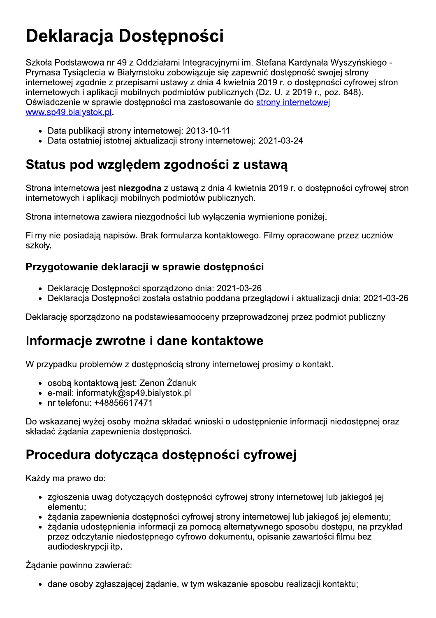# Deklaracia Dost

**Deklaracja Dostępności**<br>
Szkoła Podstawowa nr 49 z Oddziałami Integracyjnymi in: Stefana Kardynała Wyszyńskiego -<br>
Prymasa Tysiądecia w Białymstoku zobowiązuje się zapewnić dostępności sychoje strony<br>
internetowej zgodnie Szkoła Podstawowa nr 49 z Oddziałami Integracyjnymi im. Stefana Kard Prymasa Tysiąclecia w Białymstoku zobowiązuje się zapewnić dostępno<br>internetowej zgodnie z przepisami ustawy z dnia 4 kwietnia 2019 r. o dos<br>internetowyc

- 
- 

# Status pod względem zgodności z ustawą

Swaw.soleshieltystok.pl.<br>
• Data publikacji strony internetowej: 2013-10-11<br>
• Data ostatniej istotnej aktualizacji strony internetowej: 2021-03-24<br> **Status pod względem zgodności z ustawą**<br>
Strona internetowa jest niezgod

Strona internetowa zawiera niezgodności lub wyłączenia wymienione poniżej.<br>
Filmy nie posiadają napisów. Brak formularza kontaktowego. Filmy opracowane przez uczniów<br>
szkoły.<br> **Przygotowanie deklaracji w sprawie dostępnośc** 

#### laracii w sprawie dost

- 
- 

## Informacje zwrotne i dane kontaktowe

- 
- 
- 

• Deklarację Dostępności sporządzono dnia: 2021-03-26<br>• Deklaracja Dostępności została ostatnio poddana przeglądowi i aktualizacji dnia: 2021-03-26<br>Deklarację sporządzono na podstawiesamooceny przeprowadzonej przez podmio

## Procedura dotycząca dostępności cyfrowej

- 
- 
- Do wskazanej wyżej osoby można składać wnioski o udostępnienie informacji niedostępnej oraz<br>
składać żądania zapewnienia dostępności.<br> **Procedura dotycząc**za **dostępnoś**ci cyfrowej strony internetowej lub jakiegoś jej<br>
e